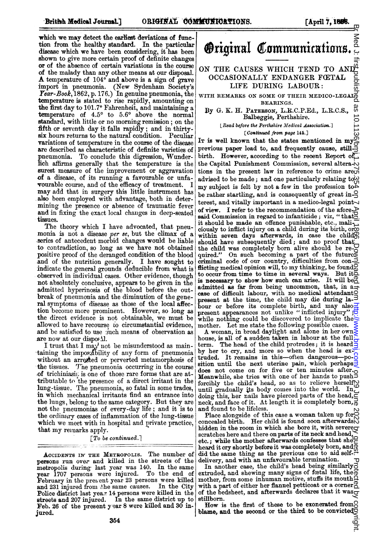which we may detect the earliest deviations of function from the healthy standard. In the particular disease which we have been considering, it has been shown to give more certain proof of definite changes or of the absence of certain variations in the course of the malady than any other means at our disposal. A temperature of 104° and above is <sup>a</sup> sign of grave import in pneumonia. (New Sydenham Society's Year-Book, 1862, p. 176.) In genuine pneumonia, the temperature is stated to rise rapidly, amounting on the first day to 101.70 Fahrenheit, and maintaining a temperature of 4.5° to 5.6° above the normal standard, with little or no morning remission; on the fifth or seventh day it falls rapidly; and in thirtysix hours returns to the natural condition. Peculiar variations of temperature in the course of the disease are described as characteristic of definite varieties of pneumonia. To conclude this digression, Wunderlich affirms generally that the temperature is the surest measure of the improvement or aggravation of a disease, of its running a favourable or unfavourable course, and of the efficacy of treatment. I may add that in surgery this little instrument has .also been employed with advantage, both in determining the presence or absence of traumatic fever and in fixing the exact local chauges in deep-seated tissues.

The theory which I have advocated, that pneumonia is not a disease per se, but the climax of a series of antecedent morbid changes would be liable to contradiction, so long as we have not obtained positive proof of the deranged condition of the blood and of the nutrition generally. I have sought to indicate the general grounds deducible from what is observed in individual cases. Other evidence, though not absolutely conclusive, appears to be given in the admitted hyperinosis of the blood before the outbreak of pneumonia and the diminution of the general symnptoms of disease as those of the local affection become more prominent. However, so long as the direct evidence is not obtainable, we must be allowed to have recourse to circumstantial evidence, and be satisfied to use such means of observation as are now at our disposit.

I trust that I may not be misunderstood as main--taining the imposAgbility of any form of pneumonia without an arrested or perverted metamorphosis of the tissues. The pneumonia occurring in the course of trichiniasic; is one of those rare forms that are attributable to the presence of a direct irritant in the lung-tissue. The pneumonia, so fatal in some trades, in which mechanical irritants find an entrance into the lungs, belong to the same category. But they are not the pneumonias of every-day life; and it is to the ordinary cases of inflammation of the lung-tissue which we meet with in hospital and private practice, that my rernarks apply.

[To be continued.]

ACCIDENTS IN THE METROPOLIS. The number of persons run over and killed in the streets of the metropolis during last year was 140. In the same year 1707 persons were injured. To the end of February in the pres ent year 23 persons were killed and 231 injured from the same causes. Police district last yea.<sup>r</sup> 14 persons were killed in the streets and 207 injured. In the same district up to Feb. 26 of the present year 8 were killed and 30 injured.

354

## **Original Communications**

ON THE CAUSES WHICH TEND TO AND OCCASIONALLY ENDANGER FOSTAL OCCASIONALLY ENDANGER FOETAL LIFE DURING LABOUR: ፵

WITH REMARKS ON SOME OF THEIR MEDICO-LEGAL<sub>O</sub> BEARINGS. 9S

B3y G. K. H. PATERsON, L.R.C.P.Ed., L.R.C.S., Baibeggie, Perthshire.

LRead before the Perthshire M21edical Association.]

Lominued from page 148. 1<br>It is well known that the states mentioned in my previous paper lead to, and frequently cause, stillbirth. However, according to the recent Report of the Capital Punishment Commission, several alterations in the present law in reference to crime are  $\alpha$ advised to be made; and one particularly relating town my subject is felt by not a few in the profession to  $\breve{\triangleright}$ be rather startling, and is consequently of great interest, and vitally important in a medico-legal point of view. I refer to the recommendation of the afore- $\geq$ said Commission in regard to infanticide; viz, "that it should be made an offence punishable, etc., mali-ciously to inflict injury on a child during its birth, or within seven days afterwards, in case the child $\mathcal{O}_D$ should have subsequently died; and no proof that<br>the child was completely born alive should be re-<br>quired." On such becoming a part of the future:<br>criminal code of our country, difficulties from conflicting medical opinion will, to my thinking, be found<br>to occur from time to time in several ways. But it? is necessary to show how such can arise. It will be ${}_{\text{O}}^{\text{O}}$ admitted as far from being uncommon, that, in  $a_{\overline{z}}$ case of difficult labour, with no medical attendant present at the time, the child may die during  $la$ bour or before its complete birth, and may also $\exists$ present appearances not unlike "inflicted injury"; while nothing could be discovered to implicate the mother. Let me state the following possible cases. on 2022 by guest. Protected by guest. Protected by copyright. Http://www.bmj.com/ Br Med Jimplest. Protected by copyright. Pownloaded from Br Medising the Stated as 10.1131 on 7 April 1

A woman, in broad daylight and alone in her own house, is all of a sudden taken in labour at the full The head of the child protrudes; it is heard by her to cry, and more so when the head is extruded. It remains in this-often dangerous-position until the next uterine pain, which perhaps does not come on for five or ten minutes after. Meanwhile, she tries with one of her hands to push forcibly the child's head, so as to relieve herself until gradually its body comes into the world. In doing this, her nails have pierced parts of the head, neck, and face of it. At length it is completely born, and found to be lifeless.

Place alongside of this case a woman taken up for concealed birth. Her child is found soon afterwards  $\heartsuit$ hidden in the room in which she bore it, with severeg scratches here and there on parts of its neck and head, etc.; while the mother afterwards confesses that she heard it cry shortly before it was completely born, and  $\overline{Q}$ did the same thing as the previous one to aid self-

delivery, and with an unfavourable termination. In another case, the child's head being similarly extruded, and shewing many signs of feetal life, the  $\overline{\phi}$ mother, from some inhuman motive, stuffs its mouth with a part of either her flannel petticoat or a corner<sup>0</sup> of the bedsheet, and afterwards declares that it was  $\frac{1}{Q}$ stillborn.

How is the first of these to be exonerated from blame, and the second or the third to be convicted